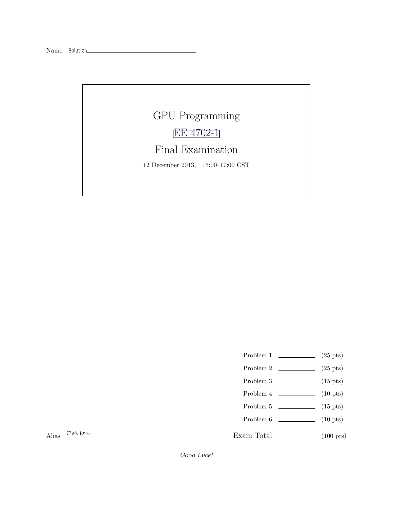Name *Solution*

## GPU Programming [EE 4702-1](http://www.ece.lsu.edu/koppel/gpup/) Final Examination 12 December 2013, 15:00–17:00 CST

- Problem 1  $(25 \text{ pts})$
- Problem 2  $\qquad \qquad$  (25 pts)
- Problem  $3 \t\t(15 \text{ pts})$
- Problem 4  $\qquad \qquad (10 \text{ pts})$
- Problem  $5 \t\t(15 \text{ pts})$
- Problem 6 (10 pts)

Exam Total  $\qquad \qquad$  (100 pts)

Alias *Click Here*

Good Luck!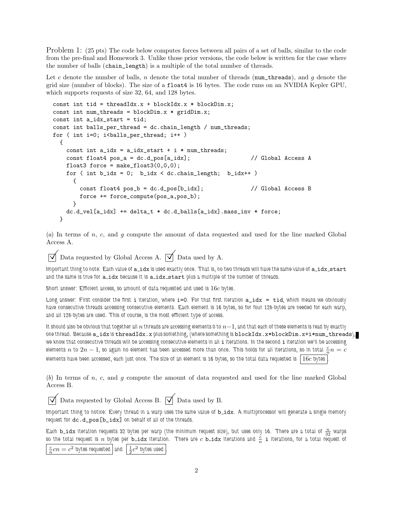Problem 1: (25 pts) The code below computes forces between all pairs of a set of balls, similar to the code from the pre-final and Homework 3. Unlike those prior versions, the code below is written for the case where the number of balls (chain\_length) is a multiple of the total number of threads.

Let c denote the number of balls, n denote the total number of threads (num\_threads), and g denote the grid size (number of blocks). The size of a float4 is 16 bytes. The code runs on an NVIDIA Kepler GPU, which supports requests of size 32, 64, and 128 bytes.

```
const int tid = threadIdx.x + blockIdx.x * blockDim.x;
const int num_threads = blockDim.x * gridDim.x;const int a_idx_start = tid;
const int balls_per_thread = dc.chain_length / num_threads;
for ( int i=0; i <br/>balls_per_thread; i++ )
 {
   const int a_idx = a_idx_start + i * num_threads;const float4 pos_a = dc.d_pos[a_idx]; // Global Access A
   float3 force = make_float3(0,0,0);
   for ( int b_idx = 0; b_idx < dc.chain_length; b_idx++ )
     {
       const float4 pos_b = dc.d_pos[b_idx]; // Global Access B
       force += force_compute(pos_a,pos_b);
     }
   dc.d_vel[a_idx] += delta_t * dc.d_balls[a_idx].mass_inv * force;
 }
```
(*a*) In terms of n, c, and g compute the amount of data requested and used for the line marked Global Access A.

 $\triangledown$  Data requested by Global Access A.  $\triangledown$  Data used by A.

Important thing to note: Each value of a\_idx is used exactly once. That is, no two threads will have the same value of a\_idx\_start *and the same is true for* a idx *because it is* a idx start *plus a multiple of the number of threads.*

*Short answer: Efficient access, so amount of data requested and used is* 16c *bytes.*

*Long answer: First consider the first i iteration, where* i=0. For that first iteration  $a$ \_idx = tid, which means we obviously *have consecutive threads accessing consecutive elements. Each element is 16 bytes, so for four 128-bytes are needed for each warp, and all 128-bytes are used. This of course, is the most efficient type of access.*

*It should also be obvious that together all*  $n$  *threads are accessing elements 0 to*  $n-1$ *, and that each of these elements is read by exactly one thread. Because* a\_idx *is* threadIdx.x *plus something, (where something is* blockIdx.x\*blockDim.x+i\*num\_threads*), we know that consecutive threads will be accessing consecutive elements in all* i *iterations. In the second* i *iteration we'll be accessing* elements  $n$  to  $2n-1$ , so again no element has been accessed more than once. This holds for all iterations, <u>so in total  $\frac{c}{n}n=c$ </u> *elements have been accessed, each just once. The size of an element is 16 bytes, so the total data requested is*  $|16c$  *bytes* 

(*b*) In terms of n, c, and g compute the amount of data requested and used for the line marked Global Access B.

 $\triangledown$  Data requested by Global Access B.  $\triangledown$  Data used by B.

*Important thing to notice: Every thread in a warp uses the same value of*  $b\_idx$ *. A multiprocessor will generate a single memory request for* dc.d\_pos[b\_idx] *on behalf of all of the threads.*

Each **b\_idx** iteration requests 32 bytes per warp (the minimum request size), but uses only 16. There are a total of  $\frac{n}{32}$  warps so the total request is  $n$  bytes per  $b$   $idx$  iteration. There are  $c$   $b$   $idx$  iterations and  $\frac{c}{n}$   $i$  iterations, for a total request of

 $\frac{c}{n}$ *cn* =  $c^2$  bytes requested and  $\frac{1}{2}c^2$  bytes used .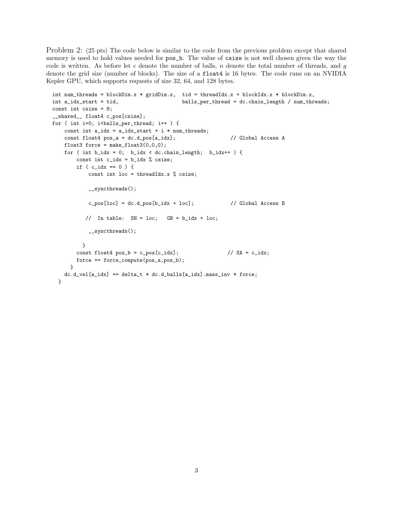Problem 2: (25 pts) The code below is similar to the code from the previous problem except that shared memory is used to hold values needed for  $pos_b$ . The value of csize is not well chosen given the way the code is written. As before let c denote the number of balls, n denote the total number of threads, and g denote the grid size (number of blocks). The size of a float4 is 16 bytes. The code runs on an NVIDIA Kepler GPU, which supports requests of size 32, 64, and 128 bytes.

```
int num_threads = blockDim.x * gridDim.x, tid = threadIdx.x + blockIdx.x * blockDim.x,
int a_idx_start = tid, balls_per_thread = dc.chain_length / num_threads;
const int csize = 8;
__shared__ float4 c_pos[csize];
for ( int i=0; i<br/>kballs_per_thread; i++ ) {
   const int a_idx = a_idx_start + i * num_threads;const float4 pos_a = dc.d_pos[a_idx]; // Global Access A
   float3 force = make_float3(0,0,0);
   for ( int b\_idx = 0; b\_idx < dc.data\_length; b\_idx++ ) {
       const int c_idx = b_idx % csize;
       if ( c\_idx == 0 ) {
           const int loc = threadIdx.x % csize;
           __syncthreads();
           c_p \cos[loc] = dc.d_p \cos[b_idx + loc]; // Global Access B
          // In table: SH = loc; GB = b\_idx + loc;__syncthreads();
         }
       const float4 pos_b = c_pos[c_idx]; // SA = c_idx;force += force_compute(pos_a,pos_b);
     \mathbf{r}dc.d\_vel[a\_idx] += delta_t * dc.d\_balls[a\_idx]. mass_inv * force;
 }
```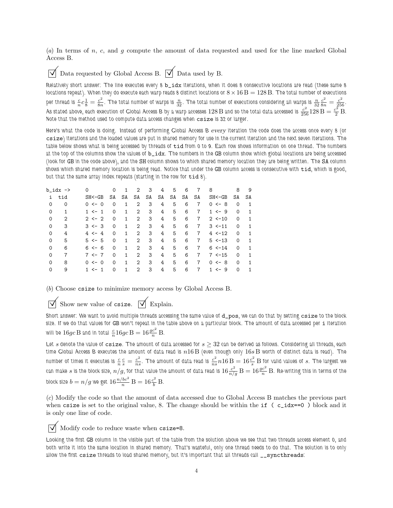(*a*) In terms of n, c, and g compute the amount of data requested and used for the line marked Global Access B.

Data requested by Global Access B.  $\overrightarrow{V}$  Data used by B.

*Relatively short answer: The line executes every 8* b\_idx *iterations, when it does 8 consecutive locations are read (these same 8 locations repeat). When they do execute each warp reads 8 distinct locations or*  $8 \times 16$   $B = 128$   $B$ . The total number of executions per thread is  $\frac{c}{n}c\frac{1}{8} = \frac{c^2}{8n}$  $\frac{c^2}{8n}$ . The total number of warps is  $\frac{n}{32}$ . The total number of executions considering all warps is  $\frac{n}{32} \frac{c^2}{8n} = \frac{c^2}{256}$ . As stated above, each execution of Global Access B by a warp accesses 128 B and so the total data accessed is  $\frac{c^2}{256}$  128 B  $=\frac{c^2}{2}$  B. *Note that the method used to compute data access changes when* csize *is 32 or larger.*

*Here's what the code is doing. Instead of performing Global Access B* every *iteration the code does the access once every 8 (or* csize*) iterations and the loaded values are put in shared memory for use in the current iteration and the next seven iterations. The table below shows what is being accessed by threads of* tid *from 0 to 9. Each row shows information on one thread. The numbers at the top of the columns show the values of* b\_idx*. The numbers in the* GB *column show which global locations are being accessed (look for* GB *in the code above), and the* SH *column shows to which shared memory location they are being written. The* SA *column shows which shared memory location is being read. Notice that under the* GB *column access is consecutive with* tid*, which is good, but that the same array index repeats (starting in the row for* tid *8).*

| $b\_idx$ -> |     | $\Omega$                   | 0        | 1            | 2                           | 3  | 4  | 5  | 6  |                | 8           | 8        | 9  |
|-------------|-----|----------------------------|----------|--------------|-----------------------------|----|----|----|----|----------------|-------------|----------|----|
| i           | tid | $SH < -GB$                 | SA       | SA           | SA                          | SA | SA | SA | SA | SA             | $SH < -GB$  | SA       | SA |
| 0           | 0   | $0 \le -0$                 | $\Omega$ | 1            | 2                           | 3  | 4  | 5  | 6  | 7              | $0 \le -8$  | $\Omega$ | 1  |
| $\Omega$    | 1   | $1 \le -1$                 | $\Omega$ | $\mathbf{1}$ | 2                           | 3  | 4  | 5  | 6  | 7              | $1 \le -9$  | 0        |    |
| 0           | 2   | $2 \leftarrow 2$           | $\Omega$ | $\mathbf{1}$ | 2                           | 3  | 4  | 5  | 6  | 7              | $2 < -10$   | 0        |    |
| $\Omega$    | 3   | $3 \le -3$                 | $\Omega$ | $\mathbf{1}$ | $\mathcal{D}_{\mathcal{L}}$ | 3  | 4  | 5  | 6  | $\overline{7}$ | $3 \le -11$ | $\Omega$ |    |
| $\Omega$    | 4   | $4 \leftarrow 4$           | $\Omega$ | $\mathbf{1}$ | $\mathcal{D}$               | 3  | 4  | 5  | 6  | $\overline{7}$ | $4 \le -12$ | $\Omega$ |    |
| 0           | 5   | $5 \le -5$                 | $\Omega$ | $\mathbf{1}$ | $\mathcal{D}$               | 3  | 4  | 5  | 6  | $\overline{7}$ | $5 \le -13$ | $\Omega$ |    |
| 0           | 6   | $6 \le -6$                 | $\Omega$ | $\mathbf{1}$ | $\mathcal{D}$               | 3  | 4  | 5  | 6  | 7              | $6 \le -14$ | $\Omega$ | 1  |
| $\Omega$    | 7   | $7 \leftarrow 7$           | $\Omega$ | $\mathbf{1}$ | $\mathcal{D}$               | 3  | 4  | 5  | 6  | $\overline{7}$ | $7 - 15$    | $\Omega$ | 1  |
| $\Omega$    | 8   | $\leftarrow 0$<br>$\Omega$ | $\Omega$ | $\mathbf{1}$ | 2                           | 3  | 4  | 5  | 6  | 7              | $0 \le -8$  | $\Omega$ | 1  |
| 0           | 9   | $\overline{1}$<br>$1 < -$  | $\Omega$ | 1            | 2                           | 3  | 4  | 5  | 6  | 7              | $<-9$<br>1. | $\Omega$ |    |

(*b*) Choose csize to minimize memory access by Global Access B.

Show new value of csize.  $\boxed{\bigvee}$  Explain.

*Short answer: We want to avoid multiple threads accessing the same value of* d\_pos*, we can do that by setting* csize *to the block size. If we do that values for* GB *won't repeat in the table above on a particular block. The amount of data accessed per* i *iteration* will be  $16gc \to$  and in total  $\frac{c}{n} 16gc \to -16 \frac{gc^2}{n} \to$ .

*Let* s *denote the value of* csize*. The amount of data accessed for* s ≥ 32 *can be derived as follows. Considering all threads, each time Global Access B executes the amount of data read is* n16 B *(even though only* 16s B *worth of distinct data is read). The* number of times it executes is  $\frac{c}{n} \frac{c}{s} = \frac{c^2}{ns}$  $\frac{c^2}{ns}$ . The amount of data read is  $\frac{c^2}{ns}$  $\frac{c^2}{ns}n16\,\mathrm{B}=16\frac{c^2}{s}\,\mathrm{B}$  for valid values of  $s$ . The largest we can make  $s$  is the block size,  $n/g$ , for that value the amount of data read is  $16 \frac{c^2}{n/g}$   $\rm B = 16 \frac{gc^2}{n}$   $\rm B$ . Re-writing this in terms of the block size  $b = n/g$  we get  $16 \frac{n/bc^2}{n} \, \text{B} = 16 \frac{c^2}{b} \, \text{B}.$ 

(*c*) Modify the code so that the amount of data accessed due to Global Access B matches the previous part when csize is set to the original value, 8. The change should be within the if  $(c_i/dx==0)$  block and it is only one line of code.

 $\triangledown$  Modify code to reduce waste when csize=8.

*Looking the first* GB *column in the visible part of the table from the solution above we see that two threads access element 0, and both write it into the same location in shared memory. That's wasteful, only one thread needs to do that. The solution is to only allow the first* csize *threads to load shared memory, but it's important that all threads call* \_\_syncthreads*:*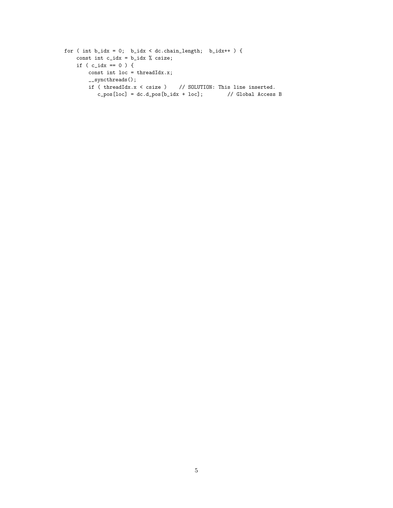```
for ( int b\_idx = 0; b\_idx < dc.data\_length; b\_idx++ ) {
    const int c_idx = b_idx % csize;
    if ( c\_idx == 0 ) {
        const int loc = threadIdx.x;
        __syncthreads();
        if ( threadIdx.x < csize ) \qquad // SOLUTION: This line inserted.
           \verb|c_pos[loc] = dc.d_pos[b_idx + loc]; \qquad \quad \text{ // Global Access B}
```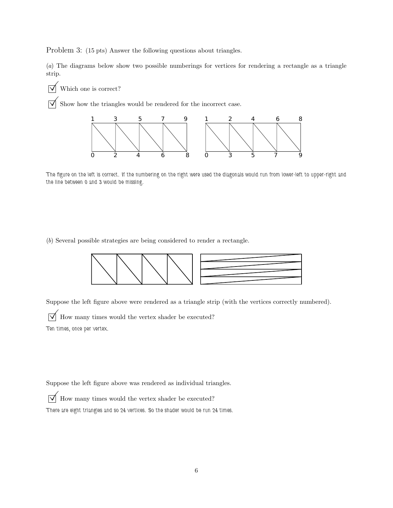Problem 3: (15 pts) Answer the following questions about triangles.

(*a*) The diagrams below show two possible numberings for vertices for rendering a rectangle as a triangle strip.

 $\triangledown$  Which one is correct?

 $\triangledown$  Show how the triangles would be rendered for the incorrect case.



*The figure on the left is correct. If the numbering on the right were used the diagonals would run from lower-left to upper-right and the line between 0 and 3 would be missing.*

(*b*) Several possible strategies are being considered to render a rectangle.



Suppose the left figure above were rendered as a triangle strip (with the vertices correctly numbered).

 $\triangledown$  How many times would the vertex shader be executed? *Ten times, once per vertex.*

Suppose the left figure above was rendered as individual triangles.

 $\triangledown$  How many times would the vertex shader be executed?

*There are eight triangles and so 24 vertices. So the shader would be run 24 times.*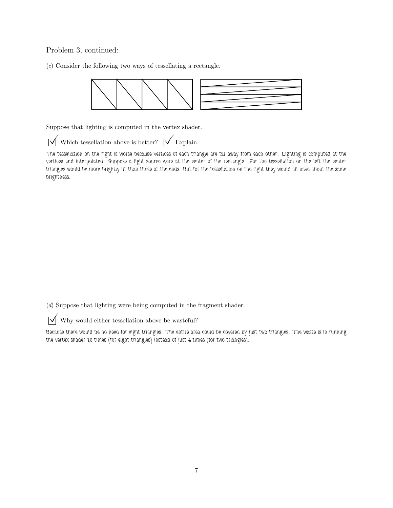## Problem 3, continued:

(*c*) Consider the following two ways of tessellating a rectangle.



Suppose that lighting is computed in the vertex shader.

 $\overrightarrow{\mathcal{A}}$  Which tessellation above is better?  $\overrightarrow{\mathcal{A}}$  Explain.

*The tessellation on the right is worse because vertices of each triangle are far away from each other. Lighting is computed at the vertices and interpolated. Suppose a light source were at the center of the rectangle. For the tessellation on the left the center triangles would be more brightly lit than those at the ends. But for the tessellation on the right they would all have about the same brightness.*

(*d*) Suppose that lighting were being computed in the fragment shader.

 $\sqrt{\phantom{a}}$  Why would either tessellation above be wasteful?

*Because there would be no need for eight triangles. The entire area could be covered by just two triangles. The waste is in running the vertex shader 10 times (for eight triangles) instead of just 4 times (for two triangles).*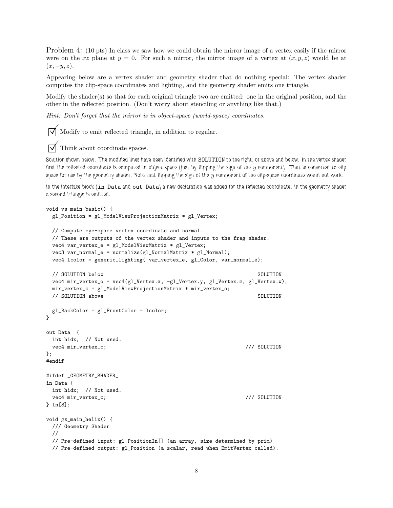Problem 4: (10 pts) In class we saw how we could obtain the mirror image of a vertex easily if the mirror were on the xz plane at  $y = 0$ . For such a mirror, the mirror image of a vertex at  $(x, y, z)$  would be at  $(x, -y, z)$ .

Appearing below are a vertex shader and geometry shader that do nothing special: The vertex shader computes the clip-space coordinates and lighting, and the geometry shader emits one triangle.

Modify the shader(s) so that for each original triangle two are emitted: one in the original position, and the other in the reflected position. (Don't worry about stenciling or anything like that.)

*Hint: Don't forget that the mirror is in object-space (world-space) coordinates.*

 $\triangledown$  Modify to emit reflected triangle, in addition to regular.

 $\triangledown$  Think about coordinate spaces.

*Solution shown below. The modified lines have been identified with* SOLUTION *to the right, or above and below. In the vertex shader* first the reflected coordinate is computed in object space (just by flipping the sign of the  $y$  component). That is converted to clip *space for use by the geometry shader. Note that flipping the sign of the* y *component of the clip-space coordinate would not work.*

*In the interface block (*in Data *and* out Data*) a new declaration was added for the reflected coordinate. In the geometry shader a second triangle is emitted.*

```
void vs_main_basic() {
 gl_Position = gl_ModelViewProjectionMatrix * gl_Vertex;
 // Compute eye-space vertex coordinate and normal.
 // These are outputs of the vertex shader and inputs to the frag shader.
 vec4 var_vertex_e = gl_ModelViewMatrix * gl_Vertex;
 vec3 \text{ var}_normal_e = normalize(gl_NormalMatrix * gl_Normal);vec4 lcolor = generic_lighting( var_vertex_e, gl_Color, var_normal_e);
 // SOLUTION below SOLUTION below SOLUTION
 vec4 mir_vertex_o = vec4(gl_Vertex.x, -gl_Vertex.y, gl_Vertex.z, gl_Vertex.w);
 mir_vertex_c = gl_ModelViewProjectionMatrix * mir_vertex_o;
 // SOLUTION above SOLUTION
 gl_BackColor = gl_FrontColor = lcolor;
}
out Data {
 int hidx; // Not used.
 vec4 mir_vertex_c; /// SOLUTION
};
#endif
#ifdef _GEOMETRY_SHADER_
in Data {
 int hidx; // Not used.
 vec4 mir_vertex_c; /// SOLUTION
} In[3];
void gs_main_helix() {
 /// Geometry Shader
 //
 // Pre-defined input: gl_PositionIn[] (an array, size determined by prim)
 // Pre-defined output: gl_Position (a scalar, read when EmitVertex called).
```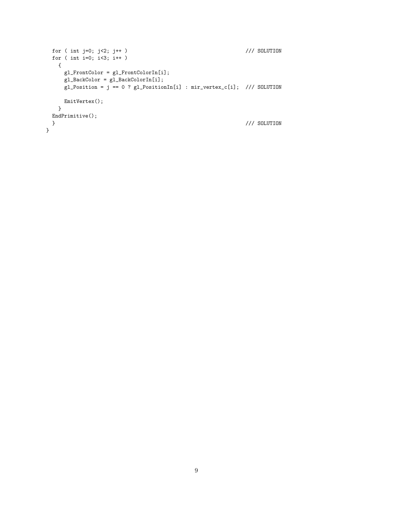```
for ( int j=0; j<2; j++ ) \frac{1}{2} /// SOLUTION
 for ( int i=0; i<3; i++ )
  {
    gl_FrontColor = gl_FrontColorIn[i];
    gl_BackColor = gl_BackColorIn[i];
    gl_Position = j == 0 ? gl_PositionIn[i] : mir_vertex_c[i]; /// SOLUTION
    EmitVertex();
  }
 EndPrimitive();
 } /// SOLUTION
}
```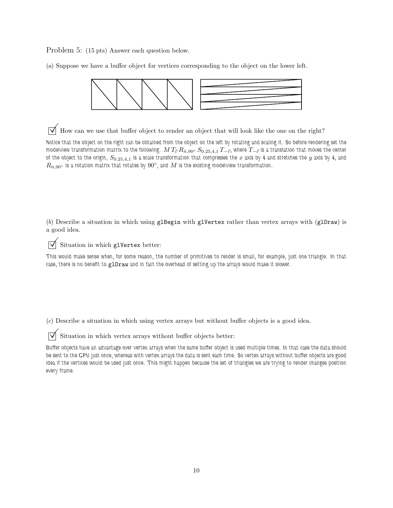Problem 5: (15 pts) Answer each question below.

(*a*) Suppose we have a buffer object for vertices corresponding to the object on the lower left.



 $\overrightarrow{\mathsf{M}}$  How can we use that buffer object to render an object that will look like the one on the right?

*Notice that the object on the right can be obtained from the object on the left by rotating and scaling it. So before rendering set the modelview transformation matrix to the following: M*  $T_{\vec{c}} R_{\hat{n}, 90^{\circ}} S_{0.25,4,1} T_{-\vec{c}}$ *, where*  $T_{-\vec{c}}$  *is a translation that moves the center* of the object to the origin,  $S_{0.25,4,1}$  is a scale transformation that compresses the x axis by 4 and stretches the y axis by 4, and  $R_{\hat{n}, 90^{\circ}}$  is a rotation matrix that rotates by  $90^{\circ}$ , and  $M$  is the existing modelview transformation.

(*b*) Describe a situation in which using glBegin with glVertex rather than vertex arrays with (glDraw) is a good idea.

 $\overrightarrow{\bigtriangledown}$  Situation in which glVertex better:

*This would make sense when, for some reason, the number of primitives to render is small, for example, just one triangle. In that case, there is no benefit to glDraw and in fact the overhead of setting up the arrays would make it slower.* 

(*c*) Describe a situation in which using vertex arrays but without buffer objects is a good idea.

 $\overrightarrow{\mathsf{N}}$  Situation in which vertex arrays without buffer objects better:

*Buffer objects have an advantage over vertex arrays when the same buffer object is used multiple times. In that case the data should be sent to the GPU just once, whereas with vertex arrays the data is sent each time. So vertex arrays without buffer objects are good idea if the vertices would be used just once. This might happen because the set of triangles we are trying to render changes position every frame.*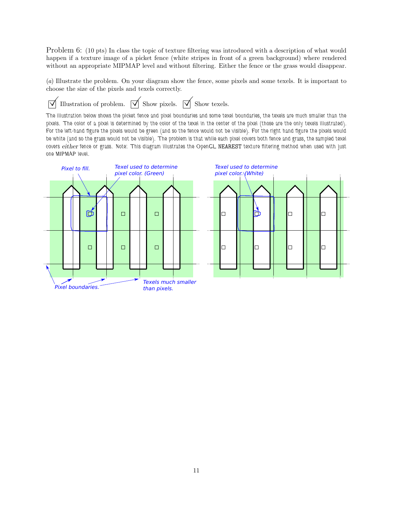Problem 6: (10 pts) In class the topic of texture filtering was introduced with a description of what would happen if a texture image of a picket fence (white stripes in front of a green background) where rendered without an appropriate MIPMAP level and without filtering. Either the fence or the grass would disappear.

(*a*) Illustrate the problem. On your diagram show the fence, some pixels and some texels. It is important to choose the size of the pixels and texels correctly.

 $\overrightarrow{\mathsf{V}}$  Illustration of problem.  $\overrightarrow{\mathsf{V}}$  Show pixels.  $\overrightarrow{\mathsf{V}}$  Show texels.

*The illustration below shows the picket fence and pixel boundaries and some texel boundaries, the texels are much smaller than the pixels. The color of a pixel is determined by the color of the texel in the center of the pixel (those are the only texels illustrated). For the left-hand figure the pixels would be green (and so the fence would not be visible). For the right hand figure the pixels would be white (and so the grass would not be visible). The problem is that while each pixel covers both fence and grass, the sampled texel covers* either *fence or grass. Note: This diagram illustrates the OpenGL* NEAREST *texture filtering method when used with just one MIPMAP level.*